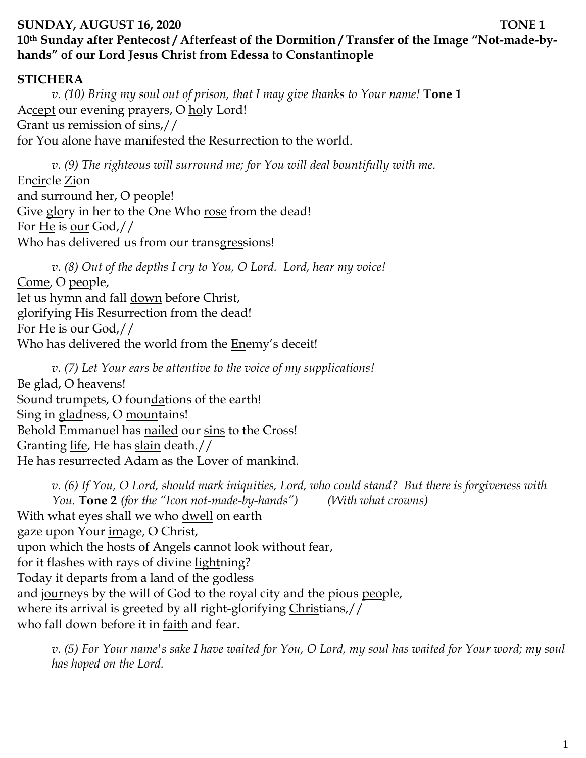## **SUNDAY, AUGUST 16, 2020 TONE 1 10th Sunday after Pentecost / Afterfeast of the Dormition / Transfer of the Image "Not-made-byhands" of our Lord Jesus Christ from Edessa to Constantinople**

## **STICHERA**

*v. (10) Bring my soul out of prison, that I may give thanks to Your name!* **Tone 1** Accept our evening prayers, O holy Lord! Grant us remission of sins,// for You alone have manifested the Resurrection to the world.

*v. (9) The righteous will surround me; for You will deal bountifully with me.*  Encircle Zion and surround her, O people! Give glory in her to the One Who rose from the dead! For He is our God,// Who has delivered us from our transgressions!

*v. (8) Out of the depths I cry to You, O Lord. Lord, hear my voice!*  Come, O people, let us hymn and fall **down** before Christ, glorifying His Resurrection from the dead! For He is our God,// Who has delivered the world from the **Enemy's deceit!** 

*v. (7) Let Your ears be attentive to the voice of my supplications!* Be glad, O heavens! Sound trumpets, O foundations of the earth! Sing in gladness, O mountains! Behold Emmanuel has nailed our sins to the Cross! Granting life, He has slain death.// He has resurrected Adam as the Lover of mankind.

*v. (6) If You, O Lord, should mark iniquities, Lord, who could stand? But there is forgiveness with You.* **Tone 2** *(for the "Icon not-made-by-hands") (With what crowns)* With what eyes shall we who dwell on earth gaze upon Your <u>im</u>age, O Christ, upon which the hosts of Angels cannot look without fear, for it flashes with rays of divine lightning? Today it departs from a land of the godless and journeys by the will of God to the royal city and the pious people, where its arrival is greeted by all right-glorifying Christians,// who fall down before it in <u>faith</u> and fear.

*v. (5) For Your name's sake I have waited for You, O Lord, my soul has waited for Your word; my soul has hoped on the Lord.*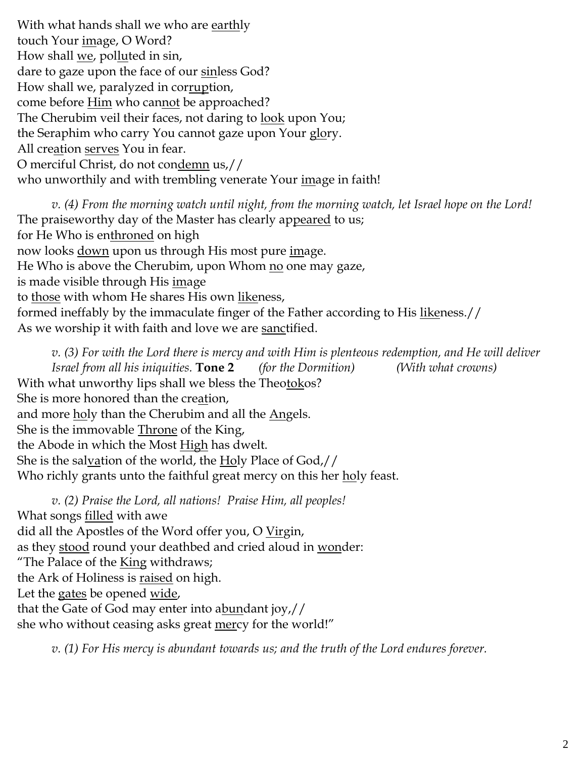With what hands shall we who are <u>earth</u>ly touch Your image, O Word? How shall <u>we</u>, polluted in sin, dare to gaze upon the face of our sinless God? How shall we, paralyzed in corruption, come before **Him** who cannot be approached? The Cherubim veil their faces, not daring to <u>look</u> upon You; the Seraphim who carry You cannot gaze upon Your glory. All creation serves You in fear. O merciful Christ, do not condemn us,// who unworthily and with trembling venerate Your image in faith!

*v. (4) From the morning watch until night, from the morning watch, let Israel hope on the Lord!*  The praiseworthy day of the Master has clearly appeared to us; for He Who is enthroned on high now looks <u>down</u> upon us through His most pure *image*. He Who is above the Cherubim, upon Whom no one may gaze, is made visible through His <u>im</u>age to those with whom He shares His own likeness, formed ineffably by the immaculate finger of the Father according to His likeness.// As we worship it with faith and love we are sanctified.

*v. (3) For with the Lord there is mercy and with Him is plenteous redemption, and He will deliver Israel from all his iniquities.* **Tone 2** *(for the Dormition) (With what crowns)* With what unworthy lips shall we bless the Theotokos? She is more honored than the creation, and more holy than the Cherubim and all the Angels. She is the immovable Throne of the King, the Abode in which the Most <u>High</u> has dwelt. She is the salvation of the world, the Holy Place of God,// Who richly grants unto the faithful great mercy on this her <u>ho</u>ly feast.

*v. (2) Praise the Lord, all nations! Praise Him, all peoples!* What songs **filled** with awe did all the Apostles of the Word offer you, O Virgin, as they stood round your deathbed and cried aloud in wonder: "The Palace of the **King withdraws**; the Ark of Holiness is <u>raised</u> on high. Let the gates be opened <u>wide</u>, that the Gate of God may enter into abundant joy,// she who without ceasing asks great mercy for the world!"

*v. (1) For His mercy is abundant towards us; and the truth of the Lord endures forever.*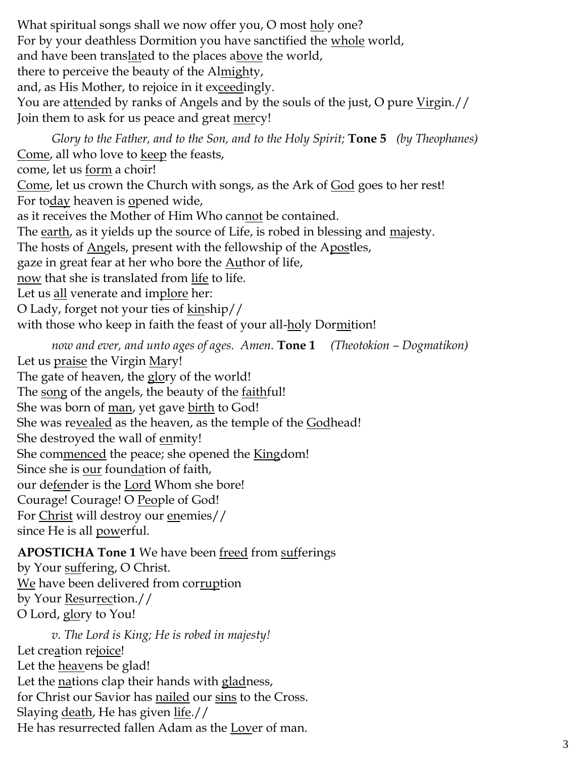What spiritual songs shall we now offer you, O most <u>holy</u> one? For by your deathless Dormition you have sanctified the <u>whole</u> world, and have been trans<u>lat</u>ed to the places a<u>bove</u> the world, there to perceive the beauty of the Almighty, and, as His Mother, to rejoice in it exceedingly. You are attended by ranks of Angels and by the souls of the just, O pure Virgin.// Join them to ask for us peace and great mercy! *Glory to the Father, and to the Son, and to the Holy Spirit;* **Tone 5** *(by Theophanes)* Come, all who love to keep the feasts, come, let us form a choir!

Come, let us crown the Church with songs, as the Ark of God goes to her rest! For today heaven is opened wide,

as it receives the Mother of Him Who cannot be contained.

The earth, as it yields up the source of Life, is robed in blessing and majesty.

The hosts of Angels, present with the fellowship of the Apostles,

gaze in great fear at her who bore the **Author** of life,

now that she is translated from life to life.

Let us <u>all</u> venerate and implore her:

O Lady, forget not your ties of kinship//

with those who keep in faith the feast of your all-holy Dormition!

*now and ever, and unto ages of ages. Amen.* **Tone 1** *(Theotokion – Dogmatikon)* Let us <u>praise</u> the Virgin <u>Mary!</u> The gate of heaven, the glory of the world!

The song of the angels, the beauty of the <u>faith</u>ful!

She was born of man, yet gave birth to God!

She was revealed as the heaven, as the temple of the Godhead!

She destroyed the wall of enmity!

She commenced the peace; she opened the **Kingdom!** 

Since she is our foundation of faith,

our defender is the Lord Whom she bore!

Courage! Courage! O People of God!

For Christ will destroy our enemies//

since He is all powerful.

## **APOSTICHA Tone 1** We have been freed from sufferings

by Your suffering, O Christ. We have been delivered from corruption by Your Resurrection.// O Lord, glory to You!

*v. The Lord is King; He is robed in majesty!*  Let creation rejoice! Let the **heavens** be glad! Let the nations clap their hands with gladness, for Christ our Savior has nailed our sins to the Cross. Slaying death, He has given life.// He has resurrected fallen Adam as the Lover of man.